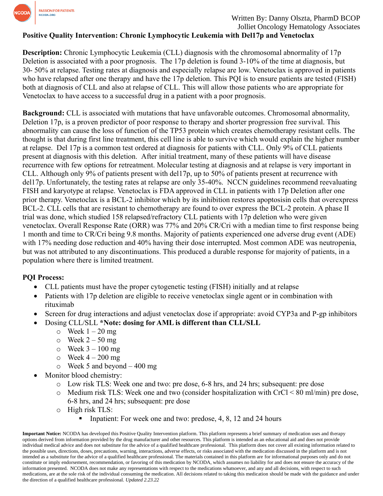

# **Positive Quality Intervention: Chronic Lymphocytic Leukemia with Del17p and Venetoclax**

**Description:** Chronic Lymphocytic Leukemia (CLL) diagnosis with the chromosomal abnormality of 17p Deletion is associated with a poor prognosis. The 17p deletion is found 3-10% of the time at diagnosis, but 30‐ 50% at relapse. Testing rates at diagnosis and especially relapse are low. Venetoclax is approved in patients who have relapsed after one therapy and have the 17p deletion. This PQI is to ensure patients are tested (FISH) both at diagnosis of CLL and also at relapse of CLL. This will allow those patients who are appropriate for Venetoclax to have access to a successful drug in a patient with a poor prognosis.

**Background:** CLL is associated with mutations that have unfavorable outcomes. Chromosomal abnormality, Deletion 17p, is a proven predictor of poor response to therapy and shorter progression free survival. This abnormality can cause the loss of function of the TP53 protein which creates chemotherapy resistant cells. The thought is that during first line treatment, this cell line is able to survive which would explain the higher number at relapse. Del 17p is a common test ordered at diagnosis for patients with CLL. Only 9% of CLL patients present at diagnosis with this deletion. After initial treatment, many of these patients will have disease recurrence with few options for retreatment. Molecular testing at diagnosis and at relapse is very important in CLL. Although only 9% of patients present with del17p, up to 50% of patients present at recurrence with del17p. Unfortunately, the testing rates at relapse are only 35-40%. NCCN guidelines recommend reevaluating FISH and karyotype at relapse. Venetoclax is FDA approved in CLL in patients with 17p Deletion after one prior therapy. Venetoclax is a BCL‐2 inhibitor which by its inhibition restores apoptosisin cells that overexpress BCL-2. CLL cells that are resistant to chemotherapy are found to over express the BCL-2 protein. A phase II trial was done, which studied 158 relapsed/refractory CLL patients with 17p deletion who were given venetoclax. Overall Response Rate (ORR) was 77% and 20% CR/Cri with a median time to first response being 1 month and time to CR/Cri being 9.8 months. Majority of patients experienced one adverse drug event (ADE) with 17% needing dose reduction and 40% having their dose interrupted. Most common ADE was neutropenia, but was not attributed to any discontinuations. This produced a durable response for majority of patients, in a population where there is limited treatment.

### **PQI Process:**

- CLL patients must have the proper cytogenetic testing (FISH) initially and at relapse
- Patients with 17p deletion are eligible to receive venetoclax single agent or in combination with rituximab
- Screen for drug interactions and adjust venetoclax dose if appropriate: avoid CYP3a and P-gp inhibitors
- Dosing CLL/SLL **\*Note: dosing for AML is different than CLL/SLL**
	- $\circ$  Week  $1 20$  mg
	- $\circ$  Week 2 50 mg
	- $\circ$  Week  $3 100$  mg
	- $\circ$  Week 4 200 mg
	- $\circ$  Week 5 and beyond  $-400$  mg
- Monitor blood chemistry:
	- o Low risk TLS: Week one and two: pre dose, 6-8 hrs, and 24 hrs; subsequent: pre dose
	- o Medium risk TLS: Week one and two (consider hospitalization with CrCl < 80 ml/min) pre dose, 6-8 hrs, and 24 hrs; subsequent: pre dose
	- o High risk TLS:
		- Inpatient: For week one and two: predose, 4, 8, 12 and 24 hours

**Important Notice:** NCODA has developed this Positive Quality Intervention platform. This platform represents a brief summary of medication uses and therapy options derived from information provided by the drug manufacturer and other resources. This platform is intended as an educational aid and does not provide individual medical advice and does not substitute for the advice of a qualified healthcare professional. This platform does not cover all existing information related to the possible uses, directions, doses, precautions, warning, interactions, adverse effects, or risks associated with the medication discussed in the platform and is not intended as a substitute for the advice of a qualified healthcare professional. The materials contained in this platform are for informational purposes only and do not constitute or imply endorsement, recommendation, or favoring of this medication by NCODA, which assumes no liability for and does not ensure the accuracy of the information presented. NCODA does not make any representations with respect to the medications whatsoever, and any and all decisions, with respect to such medications, are at the sole risk of the individual consuming the medication. All decisions related to taking this medication should be made with the guidance and under the direction of a qualified healthcare professional. *Updated 2.23.22*